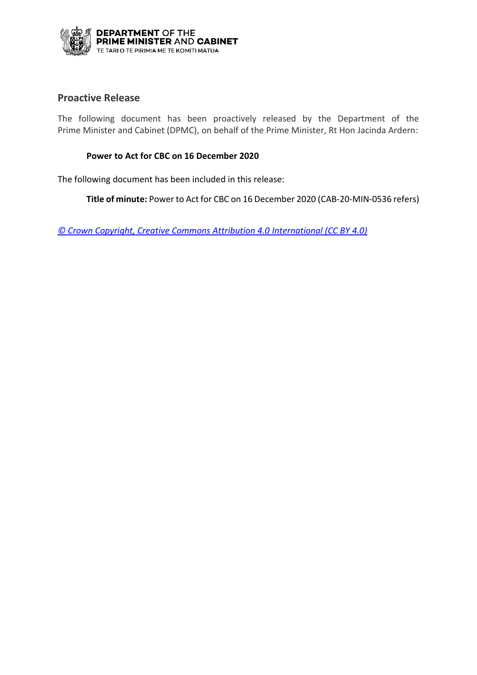

## **Proactive Release**

The following document has been proactively released by the Department of the Prime Minister and Cabinet (DPMC), on behalf of the Prime Minister, Rt Hon Jacinda Ardern:

### **Power to Act for CBC on 16 December 2020**

The following document has been included in this release:

**Title of minute:** Power to Act for CBC on 16 December 2020 (CAB-20-MIN-0536 refers)

*[© Crown Copyright, Creative Commons Attribution 4.0 International \(CC BY 4.0\)](https://creativecommons.org/licenses/by/4.0/)*